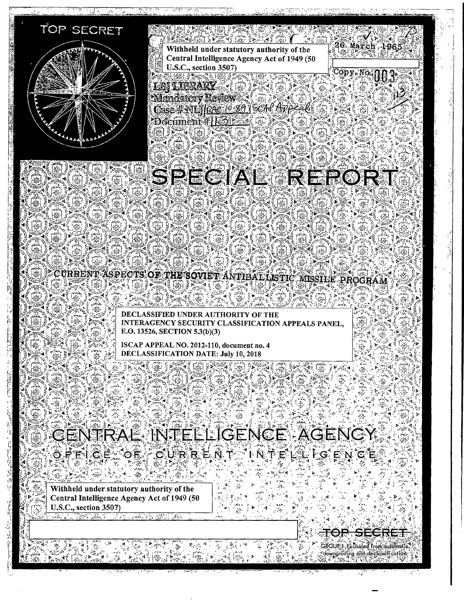

# CENTRAL INTELLIGENCE AGENCY 8FEI8F OF GURREAT IN FELS LOF Y CE

Withheld under statutory authority of the Central Intelligence Agency Act of 1949 (50 U.S.C., section 3507)

> ਜ਼ਿੱ⊙ਿ io zoni GROUP I. Excluded from automotics downgrading and declassification.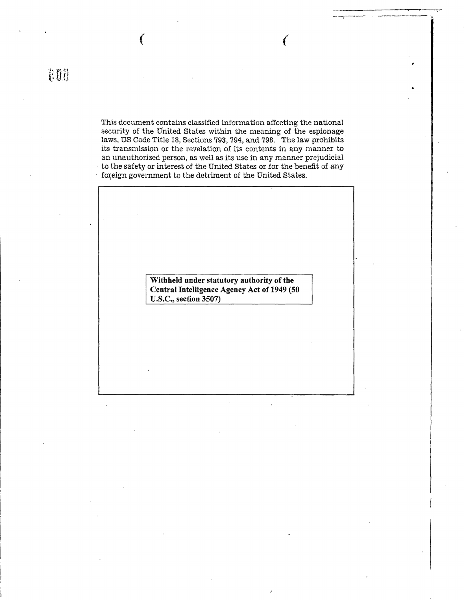This document contains classified information affecting the national security of the United States within the meaning of the espionage laws, US Code Title 18, Sections 793, 794, and 798. The law prohibits its transmission or the revelation of its contents in any manner to an unauthorized person, as well as its use in any manner prejudicial to the safety or interest of the United States or for the benefit of any foreign government to the detriment of the United States.

 $($  (

**Withheld under statutory authority of the Central Intelligence Agency Act of 1949 (50 U.S.C., section 3507)**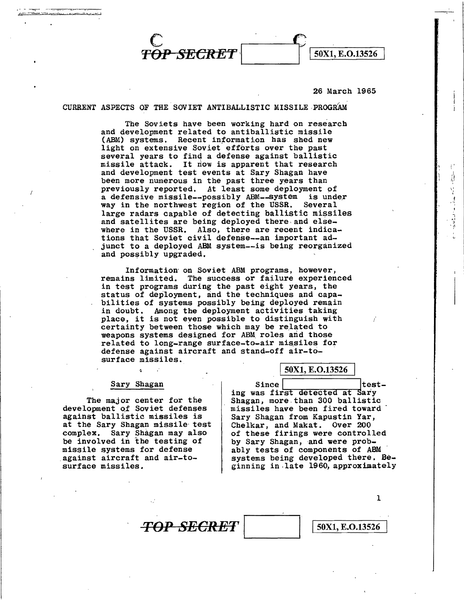*OP SECRET* | 50X1, E.O.13526

#### 26 March 1965

.. ' ;} '"

CURRENT ASPECTS OF THE SOVIET ANTIBALLISTIC MISSILE-PROGRAM.

The Soviets have been working hard on research and development related to antiballistic missile (ABM) systems. Recent information has shed new light on extensive Soviet efforts over the past several years to find a defense against ballistic missile attack. It now is apparent that research and development test events at Sary Shagan have been more numerous in the past three years than previously reported. At least some deployment of a defensive missile--possibly ABM--system is under<br>way in the northwest region of the USSR. Several way in the northwest region of the USSR. large radars capable of detecting ballistic missiles and satellites are being deployed there and elsewhere in the USSR. Also, there are recent indications that Soviet civil defense--an important adjunct to a deployed ABM system--is being reorganized and possibly upgraded.

Information on Soviet ABM programs, however,<br>remains limited. The success or failure experienced in test programs during the past eight years, the status of deployment, and the techniques and capabilities of systems possibly being deployed remain<br>in doubt. Among the deployment activities taking in doubt. Among the deployment activjties taking place, it is not eyen possible to distinguish with certainty between those which may be related to weapons systems designed for ABM roles and those related to long-range surface-to-air missiles for defense against aircraft and stand-off air-tosurface missiles.

#### Sary Shagan

ò

The major center for the development of Soviet defenses against ballistic missiles is at the Sary Shagan missile· test complex. Sary Shagan may also be involved in the testing of missile systems for defense against aircraft and air-tosurface missiles.

Since | test-<br>ing was first detected at Sary Shagan, more than 300 ballistic missiles have been fired toward Sary Shagan from Kapustin Yar, Chelkar, and Makat. Over 200 of these firings were controlled by Sary Shagan, and were probably tests of components of ABM systems being developed there. Beginning in. late 1960, approximately

**TOP SECRET** | 50X1, E.O.13526

l

50X1, E.O.13526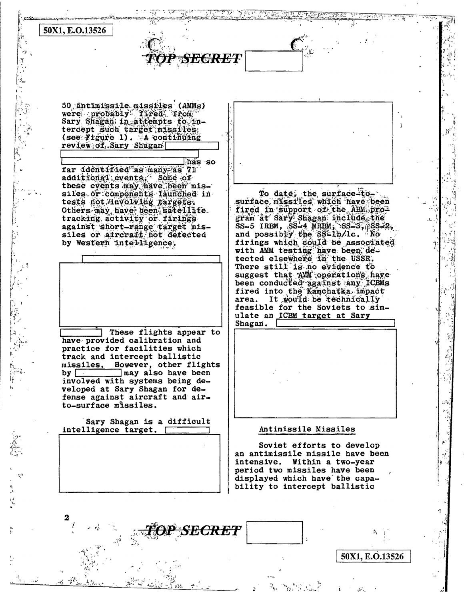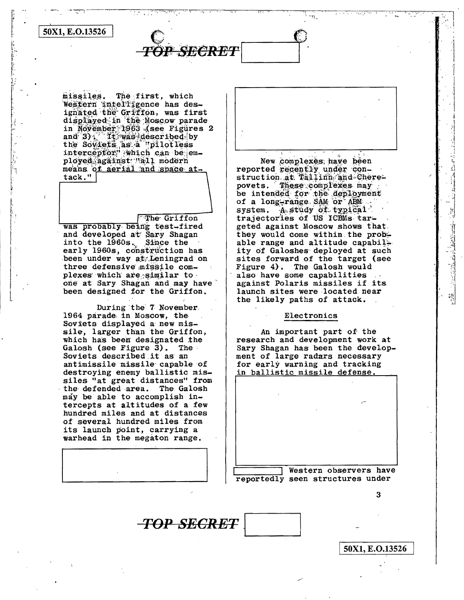50X1, E.O.13526

missiles. The first, which Western intelligence has designated the Griffon, was first displayed in the Moscow parade in November 1963 (see Figures 2 and 3) Timas described by<br>the Soviets as a "pilotless interceptor" which can be employed against Wall modern means of aerial and space attack."

P SECRET

The Griffon was probably being test-fired and developed at Sary Shagan into the 1960s. Since the early 1960s, construction has been under way at Leningrad on three defensive missile complexes which are similar to

one at Sary Shagan and may have

been designed for the Griffon. During the 7 November. 1964 parade in Moscow, the Soviets displayed a new missile, larger than the Griffon, which has been designated the Galosh (see Figure 3). The . Soviets described it as an antimissile missile capable of destroying enemy ballistic missiles "at great distances" from the defended area. The Galosh may be able to accomplish intercepts at altitudes of a few hundred miles and at distances of several hundred miles from its launch point, carrying a warhead in the megaton range.

**TOP SEGRET** 

New complexes have been reported recently under construction at Tallinn and Cherepovets. These complexes may be intended for the deployment of a long-range SAM or ABM. system. A study of typical trajectories of US ICBMs targeted against Moscow shows that. they would come within the probable range and altitude capability of Galoshes deployed at such sites forward of the target (see Figure 4). The Galosh would also have some capabilities against Polaris missiles if its launch sites were located near the likely paths of attack.

#### Electronics

An important part of the research and development work at Sary Shagan has been the development of large radars necessary for early warning and tracking in ballistic missile defense.

Western observers have reportedly seen structures under

3

50X1, E.O.13526

**射》有量组有"重量"的可以** 

 $\frac{1}{2}$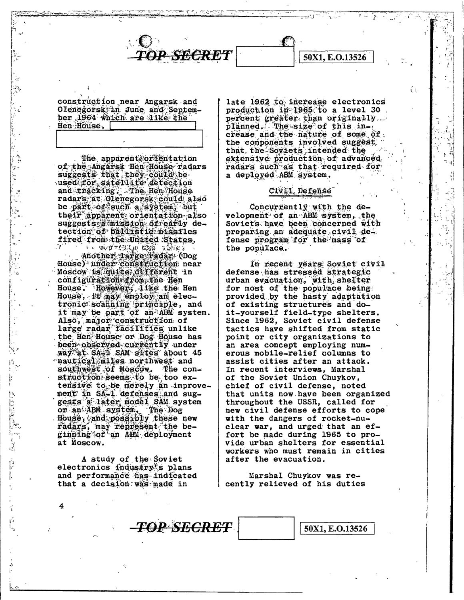construction near Angarsk and Olenegorsk in June and September 1964 which are like the Hen House.

*P SE<del>CRET</del>* 

The apparent orientation of the Angarsk Hen House radars suggests that they could be used for satellite detection and tracking. The Hen House radars at Olenegorsk could also be part of such a system, but their apparent orientation also suggests a mission of early detection of ballistic missiles fired from the United States.

another large radan (Dog House) under construction near Moscow is quite different in configuration from the Hen House. However, Tike the Hen House, it may employ an electronic scanning principle, and it may be part of an ABM system. Also, major construction of<br>large radar facilities unlike the Hen House or Dog House has been observed currently under way at SA-1 SAM sites about 45 mautical miles northwest and southwest of Moscow. The construction seems to be too extensive to be merely an improvement in SA-1 defenses and suggests a later model SAM system or an ABM system. The Dog House, and possibly these new radars, may represent the beginning of an ABM deployment at Moscow.

A study of the Soviet electronics industry's plans and performance has indicated that a decision was made in

15

**TEREST** 

 $\mathfrak{f}_{\mathfrak{p}\uparrow\mathfrak{q}}$ 

 $\int_{\frac{\pi}{2}}^{\frac{\pi}{2}} \int_{\frac{\pi}{2}}^{\frac{\pi}{2}} \frac{dx}{\sqrt{2}} dx$ 

p<br>P

ſ,

 $\vec{v}$ 

4

late 1962 to increase electronics production in 1965 to a level 30. percent greater than originally. planned. The size of this increase and the nature of some of the components involved suggest that the Soyiets intended the extensive production of advanced radars such as that required for a deployed ABM system.

50X1, E.O.13526

έJ.

#### Civil, Defense

Concurrently with the development of an ABM system, the Soviets have been concerned with preparing an adequate civil defense program for the mass of the populace.

In recent years Soviet civil defense has stressed strategic urban evacuation, with shelter for most of the populace being. provided by the hasty adaptation of existing structures and doit-yourself field-type shelters. Since 1962, Soviet civil defense tactics have shifted from static point or city organizations to an area concept employing numerous mobile-relief columns to assist cities after an attack. In recent interviews, Marshal of the Soviet Union Chuykov, chief of civil defense, noted that units now have been organized throughout the USSR, called for new civil defense efforts to cope with the dangers of rocket-nuclear war, and urged that an effort be made during 1965 to provide urban shelters for essential workers who must remain in cities after the evacuation.

Marshal Chuykov was recently relieved of his duties

TOP SECRET

50X1, E.O.13526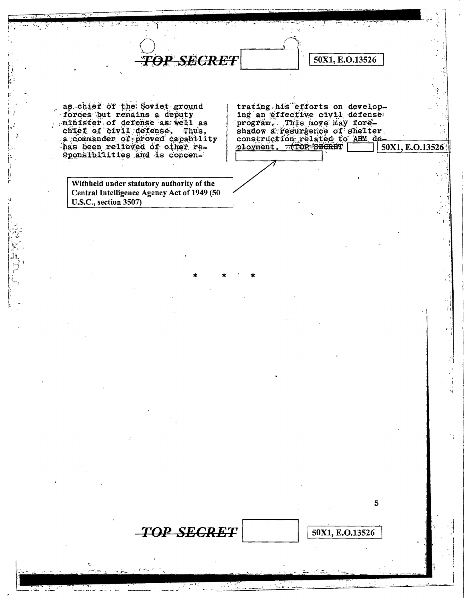as chief of the Soviet ground forces but remains a deputy minister of defense as well as chief of civil defense. Thus, a commander of proved capability<br>has been relieved of other re-Sponsibilities and is concen-

**TOP SECRET** 

**TOP SECRET** 

Withheld under statutory authority of the Central Intelligence Agency Act of 1949 (50 U.S.C., section 3507)

trating his efforts on developing an effective civil defense program. This move may fore-<br>shadow a resurgence of shelter. construction related to ABM deployment. TOP SECRET 50X1, E.O.13526

50X1, E.O.13526

5

50X1, E.O.13526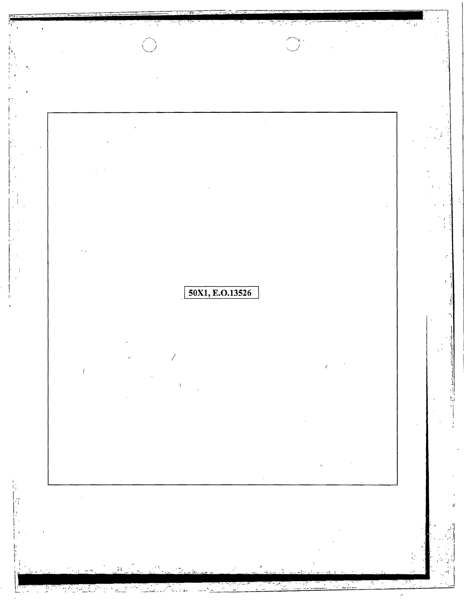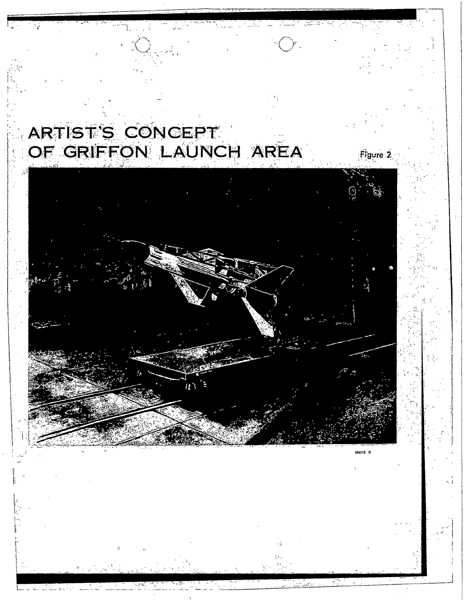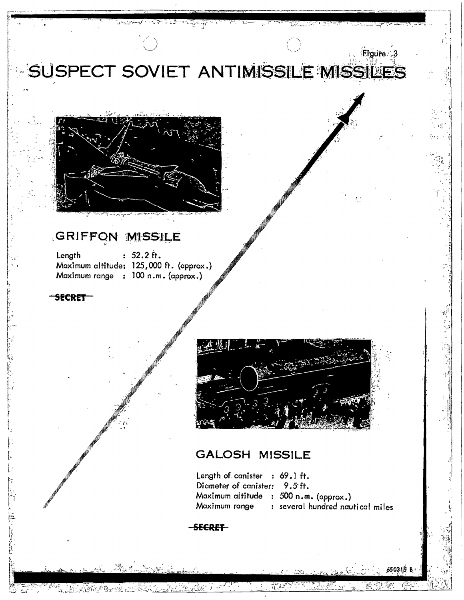



## GRIFFON MISSILE

 $: 52.2 \text{ ft.}$ Length Maximum altitude: 125,000 ft. (approx.) Maximum range : 100 n.m. (approx.)

SECRET

within the content of the

ALTIGRAPER OF LIL



### **GALOSH MISSILE**

Length of canister : 69.1 ft. Diameter of canister: 9.5 ft. Maximum altitude : 500 n.m. (approx.) : several hundred nautical miles Maximum range

 $\frac{1}{4}$  ( )  $\frac{1}{2}$  ( )

650315 B

### SECRET

 $\left\langle \mathcal{L}_{\mathcal{A}}^{\mathcal{A}}\right\rangle =\left\langle \mathcal{L}_{\mathcal{A}}^{\mathcal{A}}\right\rangle \left\langle \mathcal{L}_{\mathcal{A}}^{\mathcal{A}}\right\rangle$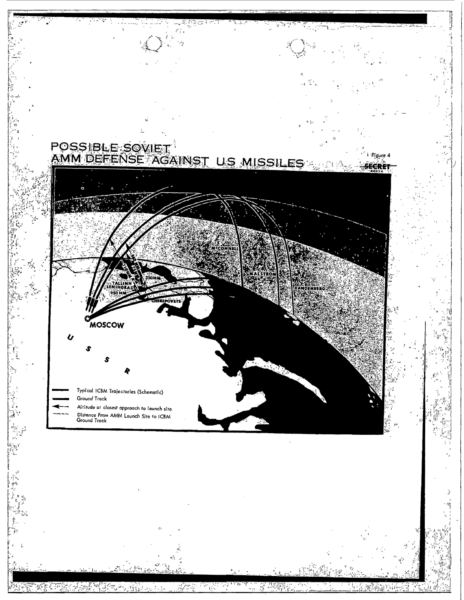